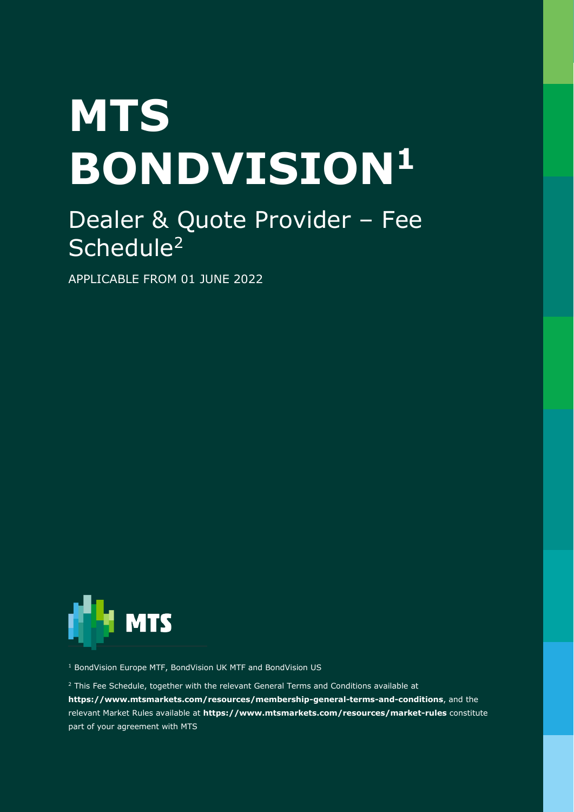# **MTS BONDVISION<sup>1</sup>**

# Dealer & Quote Provider – Fee Schedule<sup>2</sup>

APPLICABLE FROM 01 JUNE 2022



<sup>1</sup> BondVision Europe MTF, BondVision UK MTF and BondVision US

 $2$  This Fee Schedule, together with the relevant General Terms and Conditions available at **<https://www.mtsmarkets.com/resources/membership-general-terms-and-conditions>**, and the

relevant Market Rules available at **<https://www.mtsmarkets.com/resources/market-rules>** constitute part of your agreement with MTS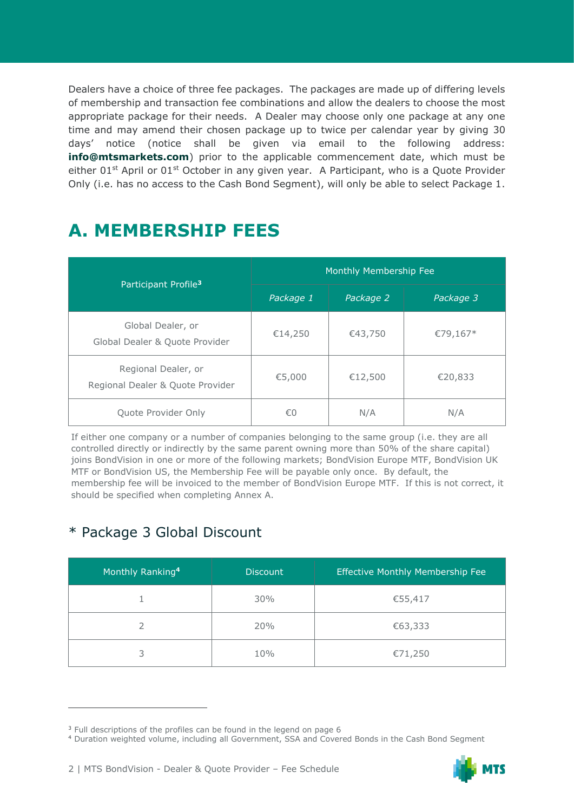Dealers have a choice of three fee packages. The packages are made up of differing levels of membership and transaction fee combinations and allow the dealers to choose the most appropriate package for their needs. A Dealer may choose only one package at any one time and may amend their chosen package up to twice per calendar year by giving 30 days' notice (notice shall be given via email to the following address: **[info@mtsmarkets.com](mailto:info@mtsmarkets.com)**) prior to the applicable commencement date, which must be either 01<sup>st</sup> April or 01<sup>st</sup> October in any given year. A Participant, who is a Quote Provider Only (i.e. has no access to the Cash Bond Segment), will only be able to select Package 1.

# **A. MEMBERSHIP FEES**

|                                                         | Monthly Membership Fee |           |           |  |
|---------------------------------------------------------|------------------------|-----------|-----------|--|
| Participant Profile <sup>3</sup>                        | Package 1              | Package 2 | Package 3 |  |
| Global Dealer, or<br>Global Dealer & Quote Provider     | €14,250                | €43,750   | €79,167*  |  |
| Regional Dealer, or<br>Regional Dealer & Quote Provider | €5,000                 | €12,500   | €20,833   |  |
| Quote Provider Only                                     | €0                     | N/A       | N/A       |  |

If either one company or a number of companies belonging to the same group (i.e. they are all controlled directly or indirectly by the same parent owning more than 50% of the share capital) joins BondVision in one or more of the following markets; BondVision Europe MTF, BondVision UK MTF or BondVision US, the Membership Fee will be payable only once. By default, the membership fee will be invoiced to the member of BondVision Europe MTF. If this is not correct, it should be specified when completing Annex A.

## \* Package 3 Global Discount

| Monthly Ranking <sup>4</sup> | <b>Discount</b> | <b>Effective Monthly Membership Fee</b> |
|------------------------------|-----------------|-----------------------------------------|
|                              | 30%             | €55,417                                 |
|                              | 20%             | €63,333                                 |
| 3                            | 10%             | €71,250                                 |

<sup>4</sup> Duration weighted volume, including all Government, SSA and Covered Bonds in the Cash Bond Segment



<sup>&</sup>lt;sup>3</sup> Full descriptions of the profiles can be found in the legend on page 6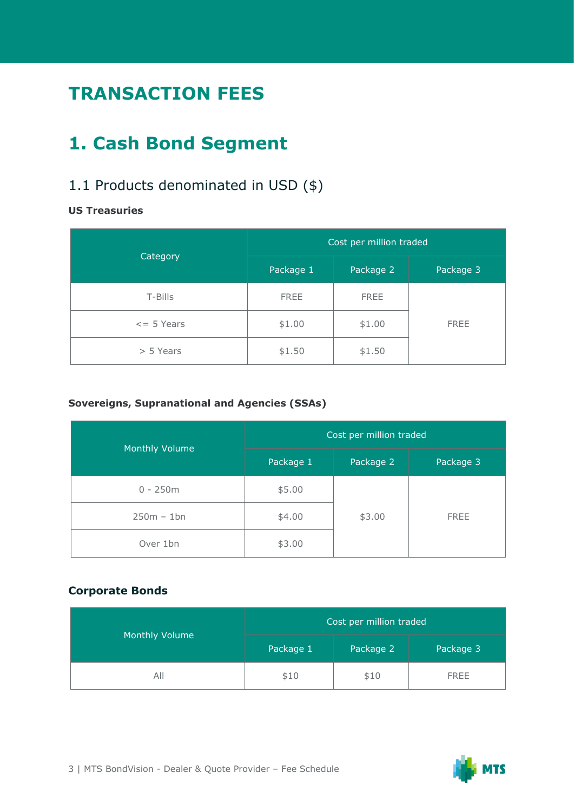# **TRANSACTION FEES**

# **1. Cash Bond Segment**

## 1.1 Products denominated in USD (\$)

#### **US Treasuries**

|                      | Cost per million traded |             |             |  |
|----------------------|-------------------------|-------------|-------------|--|
| Category             | Package 1               | Package 2   | Package 3   |  |
| T-Bills              | <b>FREE</b>             | <b>FREE</b> |             |  |
| $\epsilon$ = 5 Years | \$1.00                  | \$1.00      | <b>FREE</b> |  |
| > 5 Years            | \$1.50                  | \$1.50      |             |  |

#### **Sovereigns, Supranational and Agencies (SSAs)**

|                | Cost per million traded |           |             |  |
|----------------|-------------------------|-----------|-------------|--|
| Monthly Volume | Package 1               | Package 2 | Package 3   |  |
| $0 - 250m$     | \$5.00                  |           |             |  |
| $250m - 1bn$   | \$4.00                  | \$3.00    | <b>FREE</b> |  |
| Over 1bn       | \$3.00                  |           |             |  |

#### **Corporate Bonds**

|                | Cost per million traded |           |             |
|----------------|-------------------------|-----------|-------------|
| Monthly Volume | Package 1               | Package 2 | Package 3   |
| All            | \$10                    | \$10      | <b>FREE</b> |

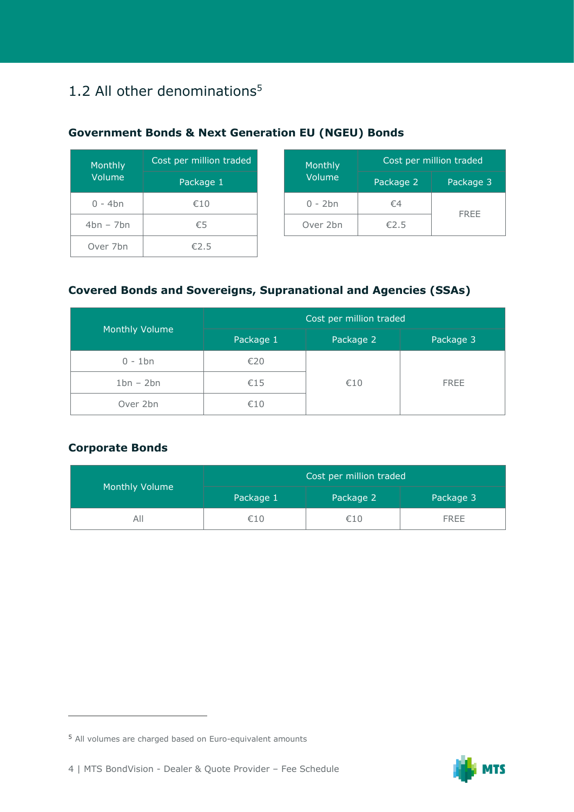## 1.2 All other denominations<sup>5</sup>

| Monthly     | Cost per million traded |  | Monthly   | Cost    |
|-------------|-------------------------|--|-----------|---------|
| Volume      | Package 1               |  | Volume    | Packago |
| $0 - 4bn$   | €10                     |  | $0 - 2bn$ | $\xi$ 4 |
| $4bn - 7bn$ | €5                      |  | Over 2bn  | €2.5    |
| Over 7bn    | €2.5                    |  |           |         |

| <b>Government Bonds &amp; Next Generation EU (NGEU) Bonds</b> |  |  |
|---------------------------------------------------------------|--|--|
|---------------------------------------------------------------|--|--|

| er million traded | Monthly   |           | Cost per million traded |
|-------------------|-----------|-----------|-------------------------|
| Package 1         | Volume    | Package 2 | Package 3               |
| €10               | $0 - 2bn$ | €4        |                         |
| €5                | Over 2bn  | €2.5      | <b>FREE</b>             |

#### **Covered Bonds and Sovereigns, Supranational and Agencies (SSAs)**

|                | Cost per million traded |           |             |
|----------------|-------------------------|-----------|-------------|
| Monthly Volume | Package 1               | Package 2 | Package 3   |
| $0 - 1$ bn     | €20                     | €10       | <b>FREE</b> |
| $1bn - 2bn$    | €15                     |           |             |
| Over 2bn       | €10                     |           |             |

#### **Corporate Bonds**

|                |                                     | Cost per million traded |             |  |
|----------------|-------------------------------------|-------------------------|-------------|--|
| Monthly Volume | Package 2<br>Package 1<br>Package 3 |                         |             |  |
| AII            | €10                                 | €10                     | <b>FREE</b> |  |



<sup>5</sup> All volumes are charged based on Euro-equivalent amounts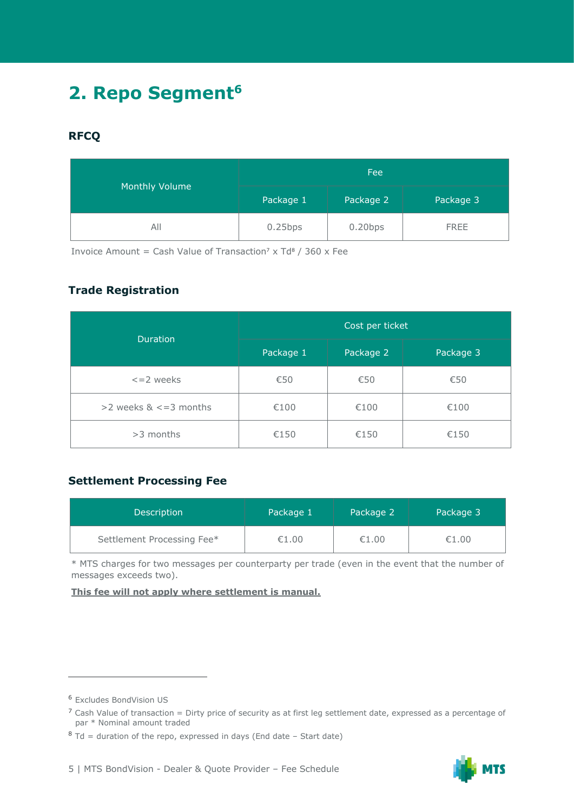# **2. Repo Segment<sup>6</sup>**

#### **RFCQ**

|                | Fee                                 |            |             |  |
|----------------|-------------------------------------|------------|-------------|--|
| Monthly Volume | Package 1<br>Package 2<br>Package 3 |            |             |  |
| All            | $0.25$ bps                          | $0.20$ bps | <b>FREE</b> |  |

Invoice Amount = Cash Value of Transaction<sup>7</sup> x Td<sup>8</sup> / 360 x Fee

#### **Trade Registration**

|                                | Cost per ticket |           |           |  |
|--------------------------------|-----------------|-----------|-----------|--|
| <b>Duration</b>                | Package 1       | Package 2 | Package 3 |  |
| $\leq$ = 2 weeks               | €50             | €50       | €50       |  |
| $>$ 2 weeks & $\lt$ = 3 months | €100            | €100      | €100      |  |
| $>3$ months                    | €150            | €150      | €150      |  |

#### **Settlement Processing Fee**

| <b>Description</b>         | Package 1 | Package 2 | Package 3 |
|----------------------------|-----------|-----------|-----------|
| Settlement Processing Fee* | €1.00     | €1.00     | €1.00     |

\* MTS charges for two messages per counterparty per trade (even in the event that the number of messages exceeds two).

**This fee will not apply where settlement is manual.**



<sup>6</sup> Excludes BondVision US

 $<sup>7</sup>$  Cash Value of transaction = Dirty price of security as at first leg settlement date, expressed as a percentage of</sup> par \* Nominal amount traded

 $8$  Td = duration of the repo, expressed in days (End date – Start date)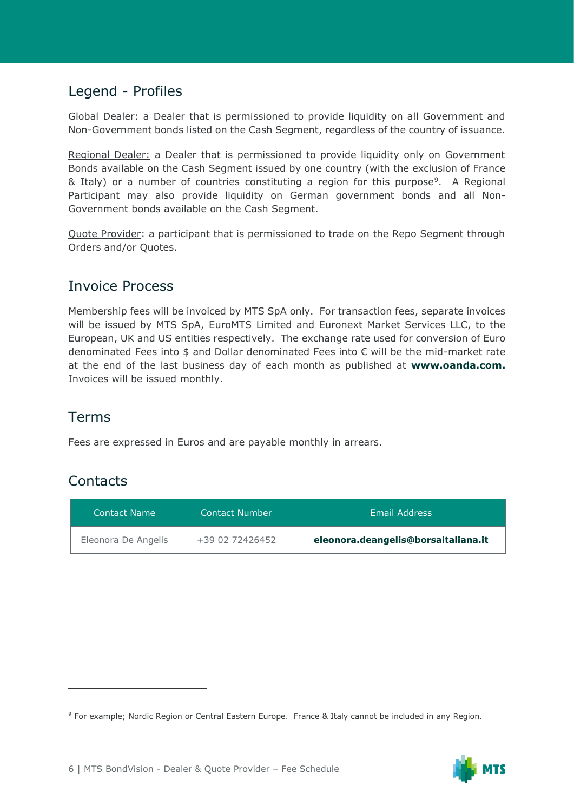## Legend - Profiles

Global Dealer: a Dealer that is permissioned to provide liquidity on all Government and Non-Government bonds listed on the Cash Segment, regardless of the country of issuance.

Regional Dealer: a Dealer that is permissioned to provide liquidity only on Government Bonds available on the Cash Segment issued by one country (with the exclusion of France & Italy) or a number of countries constituting a region for this purpose<sup>9</sup>. A Regional Participant may also provide liquidity on German government bonds and all Non-Government bonds available on the Cash Segment.

Quote Provider: a participant that is permissioned to trade on the Repo Segment through Orders and/or Quotes.

### Invoice Process

Membership fees will be invoiced by MTS SpA only. For transaction fees, separate invoices will be issued by MTS SpA, EuroMTS Limited and Euronext Market Services LLC, to the European, UK and US entities respectively. The exchange rate used for conversion of Euro denominated Fees into \$ and Dollar denominated Fees into € will be the mid-market rate at the end of the last business day of each month as published at **[www.oanda.com.](http://www.oanda.com/)** Invoices will be issued monthly.

## Terms

Fees are expressed in Euros and are payable monthly in arrears.

## **Contacts**

| Contact Name        | Contact Number  | Email Address                       |
|---------------------|-----------------|-------------------------------------|
| Eleonora De Angelis | +39 02 72426452 | eleonora.deangelis@borsaitaliana.it |

<sup>9</sup> For example; Nordic Region or Central Eastern Europe. France & Italy cannot be included in any Region.

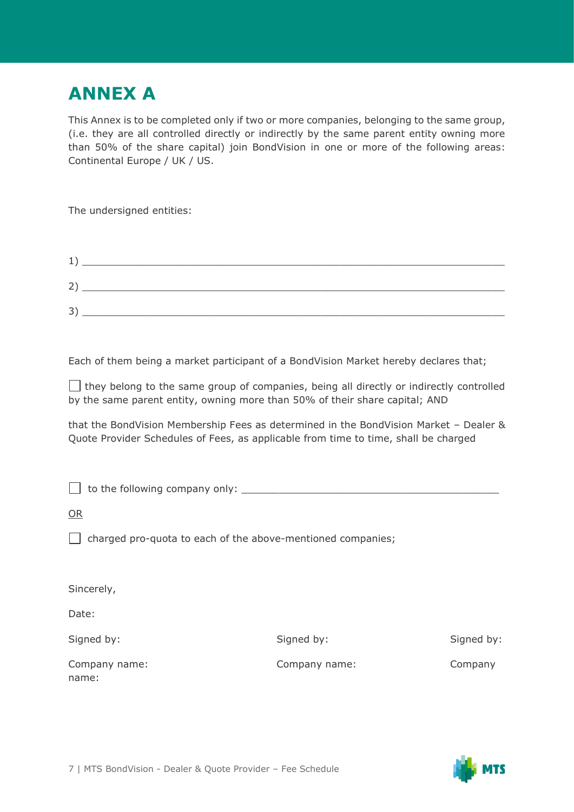# **ANNEX A**

This Annex is to be completed only if two or more companies, belonging to the same group, (i.e. they are all controlled directly or indirectly by the same parent entity owning more than 50% of the share capital) join BondVision in one or more of the following areas: Continental Europe / UK / US.

The undersigned entities:

| ᆠ      |  |  |  |
|--------|--|--|--|
| ∠      |  |  |  |
| ⊇<br>ر |  |  |  |

Each of them being a market participant of a BondVision Market hereby declares that;

 $\Box$  they belong to the same group of companies, being all directly or indirectly controlled by the same parent entity, owning more than 50% of their share capital; AND

that the BondVision Membership Fees as determined in the BondVision Market – Dealer & Quote Provider Schedules of Fees, as applicable from time to time, shall be charged

| $\Box$ to the following company only: |  |
|---------------------------------------|--|
| OR                                    |  |

 $\Box$  charged pro-quota to each of the above-mentioned companies;

| Sincerely,             |               |            |
|------------------------|---------------|------------|
| Date:                  |               |            |
| Signed by:             | Signed by:    | Signed by: |
| Company name:<br>name: | Company name: | Company    |